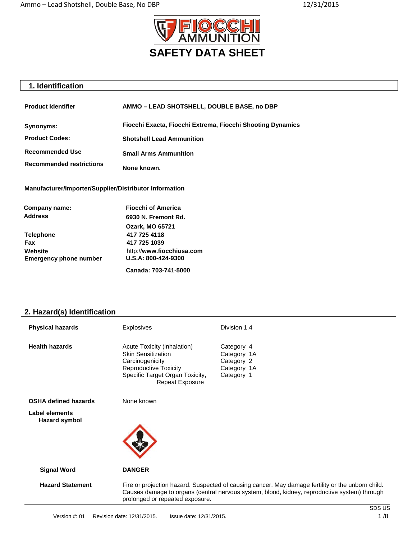

## **1. Identification**

| <b>Product identifier</b>       | AMMO - LEAD SHOTSHELL, DOUBLE BASE, no DBP                 |  |
|---------------------------------|------------------------------------------------------------|--|
| Synonyms:                       | Fiocchi Exacta, Fiocchi Extrema, Fiocchi Shooting Dynamics |  |
| <b>Product Codes:</b>           | <b>Shotshell Lead Ammunition</b>                           |  |
| <b>Recommended Use</b>          | <b>Small Arms Ammunition</b>                               |  |
| <b>Recommended restrictions</b> | None known.                                                |  |

**Manufacturer/Importer/Supplier/Distributor Information**

| Company name:                 | <b>Fiocchi of America</b> |
|-------------------------------|---------------------------|
| <b>Address</b>                | 6930 N. Fremont Rd.       |
|                               | <b>Ozark, MO 65721</b>    |
| <b>Telephone</b>              | 417 725 4118              |
| Fax                           | 417 725 1039              |
| Website                       | http://www.fiocchiusa.com |
| <b>Emergency phone number</b> | U.S.A: 800-424-9300       |
|                               | Canada: 703-741-5000      |

## **2. Hazard(s) Identification**

| <b>Physical hazards</b>                | <b>Explosives</b>                                                                                                                                                                                                                    | Division 1.4                                                         |
|----------------------------------------|--------------------------------------------------------------------------------------------------------------------------------------------------------------------------------------------------------------------------------------|----------------------------------------------------------------------|
| <b>Health hazards</b>                  | Acute Toxicity (inhalation)<br><b>Skin Sensitization</b><br>Carcinogenicity<br><b>Reproductive Toxicity</b><br>Specific Target Organ Toxicity,<br><b>Repeat Exposure</b>                                                             | Category 4<br>Category 1A<br>Category 2<br>Category 1A<br>Category 1 |
| <b>OSHA defined hazards</b>            | None known                                                                                                                                                                                                                           |                                                                      |
| <b>Label elements</b><br>Hazard symbol |                                                                                                                                                                                                                                      |                                                                      |
| <b>Signal Word</b>                     | <b>DANGER</b>                                                                                                                                                                                                                        |                                                                      |
| <b>Hazard Statement</b>                | Fire or projection hazard. Suspected of causing cancer. May damage fertility or the unborn child.<br>Causes damage to organs (central nervous system, blood, kidney, reproductive system) through<br>prolonged or repeated exposure. |                                                                      |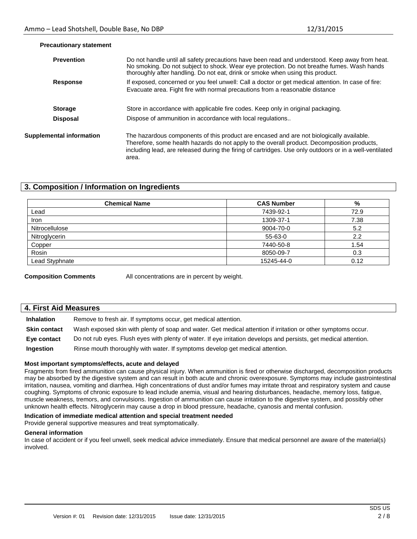| <b>Prevention</b>               | Do not handle until all safety precautions have been read and understood. Keep away from heat.<br>No smoking. Do not subject to shock. Wear eye protection. Do not breathe fumes. Wash hands<br>thoroughly after handling. Do not eat, drink or smoke when using this product.                              |
|---------------------------------|-------------------------------------------------------------------------------------------------------------------------------------------------------------------------------------------------------------------------------------------------------------------------------------------------------------|
| <b>Response</b>                 | If exposed, concerned or you feel unwell: Call a doctor or get medical attention. In case of fire:<br>Evacuate area. Fight fire with normal precautions from a reasonable distance                                                                                                                          |
| <b>Storage</b>                  | Store in accordance with applicable fire codes. Keep only in original packaging.                                                                                                                                                                                                                            |
| <b>Disposal</b>                 | Dispose of ammunition in accordance with local regulations                                                                                                                                                                                                                                                  |
| <b>Supplemental information</b> | The hazardous components of this product are encased and are not biologically available.<br>Therefore, some health hazards do not apply to the overall product. Decomposition products,<br>including lead, are released during the firing of cartridges. Use only outdoors or in a well-ventilated<br>area. |

#### **Precautionary statement**

## **3. Composition / Information on Ingredients**

| <b>Chemical Name</b> | <b>CAS Number</b> | %    |
|----------------------|-------------------|------|
| Lead                 | 7439-92-1         | 72.9 |
| Iron                 | 1309-37-1         | 7.38 |
| Nitrocellulose       | 9004-70-0         | 5.2  |
| Nitroglycerin        | 55-63-0           | 2.2  |
| Copper               | 7440-50-8         | 1.54 |
| Rosin                | 8050-09-7         | 0.3  |
| Lead Styphnate       | 15245-44-0        | 0.12 |

**Composition Comments** All concentrations are in percent by weight.

### **4. First Aid Measures**

| <b>Inhalation</b>   | Remove to fresh air. If symptoms occur, get medical attention.                                                    |
|---------------------|-------------------------------------------------------------------------------------------------------------------|
| <b>Skin contact</b> | Wash exposed skin with plenty of soap and water. Get medical attention if irritation or other symptoms occur.     |
| Eve contact         | Do not rub eyes. Flush eyes with plenty of water. If eye irritation develops and persists, get medical attention. |
| Ingestion           | Rinse mouth thoroughly with water. If symptoms develop get medical attention.                                     |

#### **Most important symptoms/effects, acute and delayed**

Fragments from fired ammunition can cause physical injury. When ammunition is fired or otherwise discharged, decomposition products may be absorbed by the digestive system and can result in both acute and chronic overexposure. Symptoms may include gastrointestinal irritation, nausea, vomiting and diarrhea. High concentrations of dust and/or fumes may irritate throat and respiratory system and cause coughing. Symptoms of chronic exposure to lead include anemia, visual and hearing disturbances, headache, memory loss, fatigue, muscle weakness, tremors, and convulsions. Ingestion of ammunition can cause irritation to the digestive system, and possibly other unknown health effects. Nitroglycerin may cause a drop in blood pressure, headache, cyanosis and mental confusion.

#### **Indication of immediate medical attention and special treatment needed**

Provide general supportive measures and treat symptomatically.

#### **General information**

In case of accident or if you feel unwell, seek medical advice immediately. Ensure that medical personnel are aware of the material(s) involved.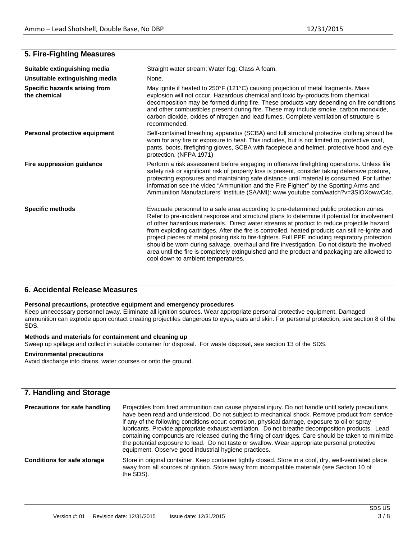## **5. Fire-Fighting Measures**

| Suitable extinguishing media                  | Straight water stream; Water fog; Class A foam.                                                                                                                                                                                                                                                                                                                                                                                                                                                                                                                                                                                                                                                                                 |  |
|-----------------------------------------------|---------------------------------------------------------------------------------------------------------------------------------------------------------------------------------------------------------------------------------------------------------------------------------------------------------------------------------------------------------------------------------------------------------------------------------------------------------------------------------------------------------------------------------------------------------------------------------------------------------------------------------------------------------------------------------------------------------------------------------|--|
| Unsuitable extinguishing media                | None.                                                                                                                                                                                                                                                                                                                                                                                                                                                                                                                                                                                                                                                                                                                           |  |
| Specific hazards arising from<br>the chemical | May ignite if heated to 250°F (121°C) causing projection of metal fragments. Mass<br>explosion will not occur. Hazardous chemical and toxic by-products from chemical<br>decomposition may be formed during fire. These products vary depending on fire conditions<br>and other combustibles present during fire. These may include smoke, carbon monoxide,<br>carbon dioxide, oxides of nitrogen and lead fumes. Complete ventilation of structure is<br>recommended.                                                                                                                                                                                                                                                          |  |
| Personal protective equipment                 | Self-contained breathing apparatus (SCBA) and full structural protective clothing should be<br>worn for any fire or exposure to heat. This includes, but is not limited to, protective coat,<br>pants, boots, firefighting gloves, SCBA with facepiece and helmet, protective hood and eye<br>protection. (NFPA 1971)                                                                                                                                                                                                                                                                                                                                                                                                           |  |
| Fire suppression guidance                     | Perform a risk assessment before engaging in offensive firefighting operations. Unless life<br>safety risk or significant risk of property loss is present, consider taking defensive posture,<br>protecting exposures and maintaining safe distance until material is consumed. For further<br>information see the video "Ammunition and the Fire Fighter" by the Sporting Arms and<br>Ammunition Manufacturers' Institute (SAAMI): www.youtube.com/watch?v=3SIOXowwC4c.                                                                                                                                                                                                                                                       |  |
| <b>Specific methods</b>                       | Evacuate personnel to a safe area according to pre-determined public protection zones.<br>Refer to pre-incident response and structural plans to determine if potential for involvement<br>of other hazardous materials. Direct water streams at product to reduce projectile hazard<br>from exploding cartridges. After the fire is controlled, heated products can still re-ignite and<br>project pieces of metal posing risk to fire-fighters. Full PPE including respiratory protection<br>should be worn during salvage, overhaul and fire investigation. Do not disturb the involved<br>area until the fire is completely extinguished and the product and packaging are allowed to<br>cool down to ambient temperatures. |  |

## **6. Accidental Release Measures**

#### **Personal precautions, protective equipment and emergency procedures**

Keep unnecessary personnel away. Eliminate all ignition sources. Wear appropriate personal protective equipment. Damaged ammunition can explode upon contact creating projectiles dangerous to eyes, ears and skin. For personal protection, see section 8 of the SDS.

## **Methods and materials for containment and cleaning up**

Sweep up spillage and collect in suitable container for disposal. For waste disposal, see section 13 of the SDS.

#### **Environmental precautions**

Avoid discharge into drains, water courses or onto the ground.

| 7. Handling and Storage              |                                                                                                                                                                                                                                                                                                                                                                                                                                                                                                                                                                                                                                                                              |
|--------------------------------------|------------------------------------------------------------------------------------------------------------------------------------------------------------------------------------------------------------------------------------------------------------------------------------------------------------------------------------------------------------------------------------------------------------------------------------------------------------------------------------------------------------------------------------------------------------------------------------------------------------------------------------------------------------------------------|
| <b>Precautions for safe handling</b> | Projectiles from fired ammunition can cause physical injury. Do not handle until safety precautions<br>have been read and understood. Do not subject to mechanical shock. Remove product from service<br>if any of the following conditions occur: corrosion, physical damage, exposure to oil or spray<br>lubricants. Provide appropriate exhaust ventilation. Do not breathe decomposition products. Lead<br>containing compounds are released during the firing of cartridges. Care should be taken to minimize<br>the potential exposure to lead. Do not taste or swallow. Wear appropriate personal protective<br>equipment. Observe good industrial hygiene practices. |
| <b>Conditions for safe storage</b>   | Store in original container. Keep container tightly closed. Store in a cool, dry, well-ventilated place<br>away from all sources of ignition. Store away from incompatible materials (see Section 10 of<br>the SDS).                                                                                                                                                                                                                                                                                                                                                                                                                                                         |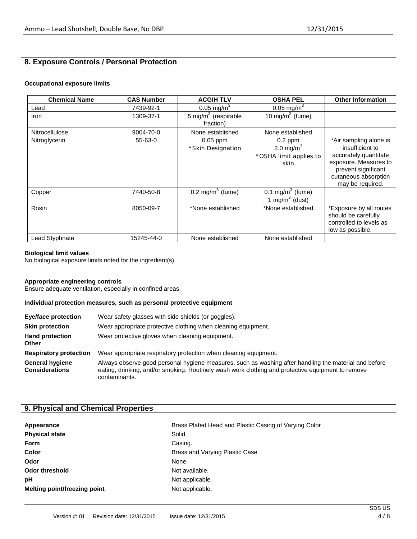## **8. Exposure Controls / Personal Protection**

#### **Occupational exposure limits**

| <b>Chemical Name</b> | <b>CAS Number</b> | <b>ACGIH TLV</b>                             | <b>OSHA PEL</b>                                             | <b>Other Information</b>                                                                                                                                       |
|----------------------|-------------------|----------------------------------------------|-------------------------------------------------------------|----------------------------------------------------------------------------------------------------------------------------------------------------------------|
| Lead                 | 7439-92-1         | 0.05 mg/m <sup>3</sup>                       | 0.05 mg/m <sup>3</sup>                                      |                                                                                                                                                                |
| Iron                 | 1309-37-1         | 5 mg/m <sup>3</sup> (respirable<br>fraction) | 10 mg/m $3$ (fume)                                          |                                                                                                                                                                |
| Nitrocellulose       | 9004-70-0         | None established                             | None established                                            |                                                                                                                                                                |
| Nitroglycerin        | 55-63-0           | $0.05$ ppm<br>*Skin Designation              | $0.2$ ppm<br>2.0 mg/m $3$<br>*OSHA limit applies to<br>skin | *Air sampling alone is<br>insufficient to<br>accurately quantitate<br>exposure. Measures to<br>prevent significant<br>cutaneous absorption<br>may be required. |
| Copper               | 7440-50-8         | $0.2 \text{ mg/m}^3$ (fume)                  | 0.1 mg/m <sup>3</sup> (fume)<br>1 mg/m $3$ (dust)           |                                                                                                                                                                |
| Rosin                | 8050-09-7         | *None established                            | *None established                                           | *Exposure by all routes<br>should be carefully<br>controlled to levels as<br>low as possible.                                                                  |
| Lead Styphnate       | 15245-44-0        | None established                             | None established                                            |                                                                                                                                                                |

#### **Biological limit values**

No biological exposure limits noted for the ingredient(s).

#### **Appropriate engineering controls**

Ensure adequate ventilation, especially in confined areas.

#### **Individual protection measures, such as personal protective equipment**

| <b>Eye/face protection</b>                      | Wear safety glasses with side shields (or goggles).                                                                                                                                                                         |
|-------------------------------------------------|-----------------------------------------------------------------------------------------------------------------------------------------------------------------------------------------------------------------------------|
| <b>Skin protection</b>                          | Wear appropriate protective clothing when cleaning equipment.                                                                                                                                                               |
| <b>Hand protection</b><br><b>Other</b>          | Wear protective gloves when cleaning equipment.                                                                                                                                                                             |
| <b>Respiratory protection</b>                   | Wear appropriate respiratory protection when cleaning equipment.                                                                                                                                                            |
| <b>General hygiene</b><br><b>Considerations</b> | Always observe good personal hygiene measures, such as washing after handling the material and before<br>eating, drinking, and/or smoking. Routinely wash work clothing and protective equipment to remove<br>contaminants. |

## **9. Physical and Chemical Properties**

| Appearance                   | Brass Plated Head and Plastic Casing of Varying Color |
|------------------------------|-------------------------------------------------------|
| <b>Physical state</b>        | Solid.                                                |
| <b>Form</b>                  | Casing.                                               |
| Color                        | Brass and Varying Plastic Case                        |
| Odor                         | None.                                                 |
| <b>Odor threshold</b>        | Not available.                                        |
| рH                           | Not applicable.                                       |
| Melting point/freezing point | Not applicable.                                       |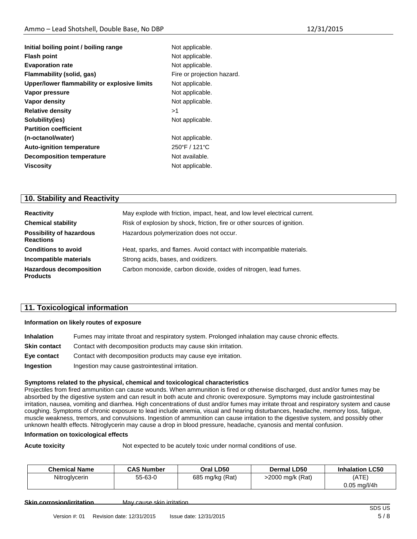| Initial boiling point / boiling range        | Not applicable.            |
|----------------------------------------------|----------------------------|
| <b>Flash point</b>                           | Not applicable.            |
| <b>Evaporation rate</b>                      | Not applicable.            |
| Flammability (solid, gas)                    | Fire or projection hazard. |
| Upper/lower flammability or explosive limits | Not applicable.            |
| Vapor pressure                               | Not applicable.            |
| Vapor density                                | Not applicable.            |
| <b>Relative density</b>                      | >1                         |
| Solubility(ies)                              | Not applicable.            |
| <b>Partition coefficient</b>                 |                            |
| (n-octanol/water)                            | Not applicable.            |
| <b>Auto-ignition temperature</b>             | 250°F / 121°C              |
| <b>Decomposition temperature</b>             | Not available.             |
| <b>Viscosity</b>                             | Not applicable.            |
|                                              |                            |

## **10. Stability and Reactivity**

| <b>Reactivity</b>                                   | May explode with friction, impact, heat, and low level electrical current. |
|-----------------------------------------------------|----------------------------------------------------------------------------|
| <b>Chemical stability</b>                           | Risk of explosion by shock, friction, fire or other sources of ignition.   |
| <b>Possibility of hazardous</b><br><b>Reactions</b> | Hazardous polymerization does not occur.                                   |
| <b>Conditions to avoid</b>                          | Heat, sparks, and flames. Avoid contact with incompatible materials.       |
| Incompatible materials                              | Strong acids, bases, and oxidizers.                                        |
| <b>Hazardous decomposition</b><br><b>Products</b>   | Carbon monoxide, carbon dioxide, oxides of nitrogen, lead fumes.           |

## **11. Toxicological information**

#### **Information on likely routes of exposure**

| <b>Inhalation</b>   | Fumes may irritate throat and respiratory system. Prolonged inhalation may cause chronic effects. |
|---------------------|---------------------------------------------------------------------------------------------------|
| <b>Skin contact</b> | Contact with decomposition products may cause skin irritation.                                    |
| Eye contact         | Contact with decomposition products may cause eye irritation.                                     |
| Ingestion           | Ingestion may cause gastrointestinal irritation.                                                  |

#### **Symptoms related to the physical, chemical and toxicological characteristics**

Projectiles from fired ammunition can cause wounds. When ammunition is fired or otherwise discharged, dust and/or fumes may be absorbed by the digestive system and can result in both acute and chronic overexposure. Symptoms may include gastrointestinal irritation, nausea, vomiting and diarrhea. High concentrations of dust and/or fumes may irritate throat and respiratory system and cause coughing. Symptoms of chronic exposure to lead include anemia, visual and hearing disturbances, headache, memory loss, fatigue, muscle weakness, tremors, and convulsions. Ingestion of ammunition can cause irritation to the digestive system, and possibly other unknown health effects. Nitroglycerin may cause a drop in blood pressure, headache, cyanosis and mental confusion.

#### **Information on toxicological effects**

**Acute toxicity Not expected to be acutely toxic under normal conditions of use.** 

| <b>Chemical Name</b> | <b>CAS Number</b> | Oral LD50       | Dermal LD50      | <b>Inhalation LC50</b>          |
|----------------------|-------------------|-----------------|------------------|---------------------------------|
| Nitroglycerin        | 55-63-0           | 685 mg/kg (Rat) | >2000 mg/k (Rat) | (ATE)                           |
|                      |                   |                 |                  | $0.05 \text{ ma}/\frac{1}{4}$ h |

**Skin corrosion/irritation May cause skin irritation**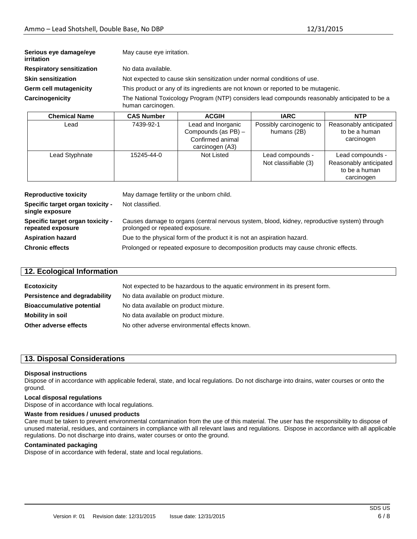| Serious eye damage/eye<br>irritation | May cause eye irritation. |                                                                          |                                                                                               |                                                       |
|--------------------------------------|---------------------------|--------------------------------------------------------------------------|-----------------------------------------------------------------------------------------------|-------------------------------------------------------|
| <b>Respiratory sensitization</b>     | No data available.        |                                                                          |                                                                                               |                                                       |
| <b>Skin sensitization</b>            |                           | Not expected to cause skin sensitization under normal conditions of use. |                                                                                               |                                                       |
| Germ cell mutagenicity               |                           |                                                                          | This product or any of its ingredients are not known or reported to be mutagenic.             |                                                       |
| Carcinogenicity                      | human carcinogen.         |                                                                          | The National Toxicology Program (NTP) considers lead compounds reasonably anticipated to be a |                                                       |
| <b>Chemical Name</b>                 | <b>CAS Number</b>         | <b>ACGIH</b>                                                             | <b>IARC</b>                                                                                   | <b>NTP</b>                                            |
| Lead                                 | 7439-92-1                 | Lead and Inorganic<br>Compounds (as PB) -<br>Canfinaced animal           | Possibly carcinogenic to<br>humans (2B)                                                       | Reasonably anticipated<br>to be a human<br>corcinogon |

|                                            |                                          | carcinogen                                                                |
|--------------------------------------------|------------------------------------------|---------------------------------------------------------------------------|
| Lead Styphnate<br>Not Listed<br>15245-44-0 | Lead compounds -<br>Not classifiable (3) | Lead compounds -<br>Reasonably anticipated<br>to be a human<br>carcinogen |

| <b>Reproductive toxicity</b>                          | May damage fertility or the unborn child.                                                                                       |
|-------------------------------------------------------|---------------------------------------------------------------------------------------------------------------------------------|
| Specific target organ toxicity -<br>single exposure   | Not classified.                                                                                                                 |
| Specific target organ toxicity -<br>repeated exposure | Causes damage to organs (central nervous system, blood, kidney, reproductive system) through<br>prolonged or repeated exposure. |
| <b>Aspiration hazard</b>                              | Due to the physical form of the product it is not an aspiration hazard.                                                         |
| <b>Chronic effects</b>                                | Prolonged or repeated exposure to decomposition products may cause chronic effects.                                             |

| 12. Ecological Information       |                                                                              |  |
|----------------------------------|------------------------------------------------------------------------------|--|
| <b>Ecotoxicity</b>               | Not expected to be hazardous to the aquatic environment in its present form. |  |
| Persistence and degradability    | No data available on product mixture.                                        |  |
| <b>Bioaccumulative potential</b> | No data available on product mixture.                                        |  |
| <b>Mobility in soil</b>          | No data available on product mixture.                                        |  |
| Other adverse effects            | No other adverse environmental effects known.                                |  |

## **13. Disposal Considerations**

#### **Disposal instructions**

Dispose of in accordance with applicable federal, state, and local regulations. Do not discharge into drains, water courses or onto the ground.

#### **Local disposal regulations**

Dispose of in accordance with local regulations.

#### **Waste from residues / unused products**

Care must be taken to prevent environmental contamination from the use of this material. The user has the responsibility to dispose of unused material, residues, and containers in compliance with all relevant laws and regulations. Dispose in accordance with all applicable regulations. Do not discharge into drains, water courses or onto the ground.

#### **Contaminated packaging**

Dispose of in accordance with federal, state and local regulations.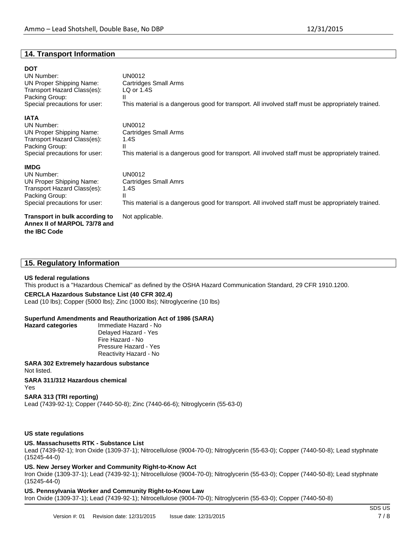## **14. Transport Information**

## **DOT**

UN Number: UN0012<br>UN Proper Shipping Name: Cartridges Small Arms UN Proper Shipping Name: Transport Hazard Class(es): LQ or 1.4S Packing Group: II<br>Special precautions for user: T

#### **IATA**

UN Proper Shipping Name: Cartridges Cartridges Cartridges Small Arms Transport Hazard Class(es): 1.<br>Packing Group: 1.4S Packing Group:<br>Special precautions for user:

This material is a dangerous good for transport. All involved staff must be appropriately trained.

UN Number: UN0012<br>UN Proper Shipping Name: Cartridges Small Arms This material is a dangerous good for transport. All involved staff must be appropriately trained.

#### **IMDG**

UN Number: UN0012<br>
UN Proper Shipping Name: Cartridges Small Amrs UN Proper Shipping Name: Transport Hazard Class(es): 1.4S Packing Group: II Special precautions for user: This material is a dangerous good for transport. All involved staff must be appropriately trained.

#### **Transport in bulk according to** Not applicable. **Annex II of MARPOL 73/78 and the IBC Code**

### **15. Regulatory Information**

#### **US federal regulations**

**Hazard categories** 

This product is a "Hazardous Chemical" as defined by the OSHA Hazard Communication Standard, 29 CFR 1910.1200.

#### **CERCLA Hazardous Substance List (40 CFR 302.4)**

Lead (10 lbs); Copper (5000 lbs); Zinc (1000 lbs); Nitroglycerine (10 lbs)

# **Superfund Amendments and Reauthorization Act of 1986 (SARA)**

Delayed Hazard - Yes Fire Hazard - No Pressure Hazard - Yes Reactivity Hazard - No

#### **SARA 302 Extremely hazardous substance** Not listed.

#### **SARA 311/312 Hazardous chemical** Yes

#### **SARA 313 (TRI reporting)**

Lead (7439-92-1); Copper (7440-50-8); Zinc (7440-66-6); Nitroglycerin (55-63-0)

#### **US state regulations**

### **US. Massachusetts RTK - Substance List**

Lead (7439-92-1); Iron Oxide (1309-37-1); Nitrocellulose (9004-70-0); Nitroglycerin (55-63-0); Copper (7440-50-8); Lead styphnate (15245-44-0)

#### **US. New Jersey Worker and Community Right-to-Know Act**

Iron Oxide (1309-37-1); Lead (7439-92-1); Nitrocellulose (9004-70-0); Nitroglycerin (55-63-0); Copper (7440-50-8); Lead styphnate (15245-44-0)

#### **US. Pennsylvania Worker and Community Right-to-Know Law**

Iron Oxide (1309-37-1); Lead (7439-92-1); Nitrocellulose (9004-70-0); Nitroglycerin (55-63-0); Copper (7440-50-8)